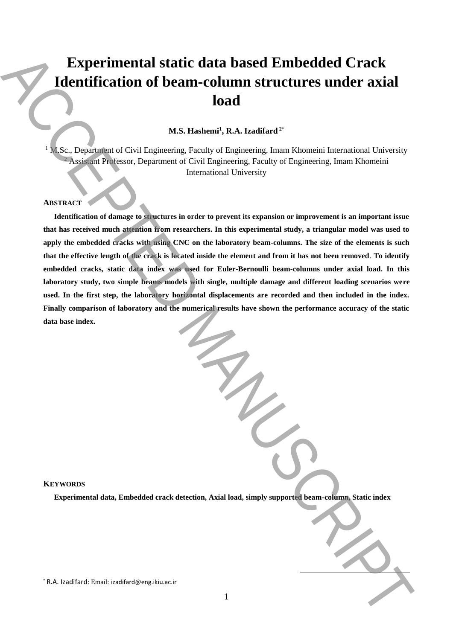# **Experimental static data based Embedded Crack Identification of beam-column structures under axial load**

# **M.S. Hashemi<sup>1</sup> , R.A. Izadifard <sup>2</sup>**\*

<sup>1</sup> M.Sc., Department of Civil Engineering, Faculty of Engineering, Imam Khomeini International University <sup>2</sup> Assistant Professor, Department of Civil Engineering, Faculty of Engineering, Imam Khomeini International University

# **ABSTRACT**

**Identification of damage to structures in order to prevent its expansion or improvement is an important issue that has received much attention from researchers. In this experimental study, a triangular model was used to apply the embedded cracks with using CNC on the laboratory beam-columns. The size of the elements is such that the effective length of the crack is located inside the element and from it has not been removed**. **To identify embedded cracks, static data index was used for Euler-Bernoulli beam-columns under axial load. In this laboratory study, two simple beams models with single, multiple damage and different loading scenarios were**  used. In the first step, the laboratory horizontal displacements are recorded and then included in the index. **Finally comparison of laboratory and the numerical results have shown the performance accuracy of the static data base index.** Experimental static data based Embedded Crack<br>
Hentification of beam-column structures under axial<br>
load<br>  $\alpha$ .<br>
R. Insurance of Cole Profession, Party of Profession, Dann Konsein (Recording Tensor<br>
NASTRACTE The company

#### **KEYWORDS**

**Experimental data, Embedded crack detection, Axial load, simply supported beam-column, Static index**

 $\overline{a}$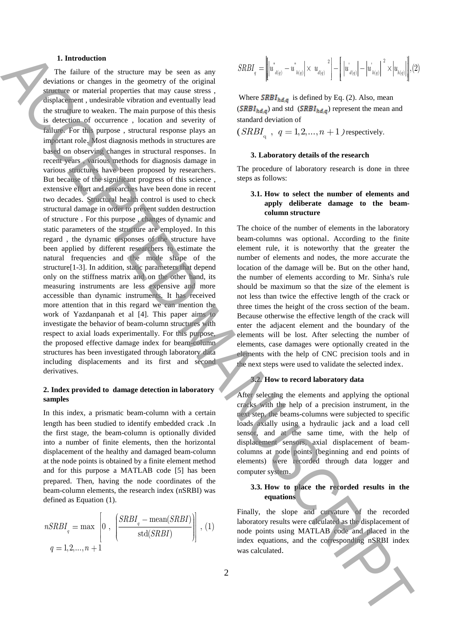#### **1. Introduction**

The failure of the structure may be seen as any deviations or changes in the geometry of the original structure or material properties that may cause stress , displacement , undesirable vibration and eventually lead the structure to weaken. The main purpose of this thesis is detection of occurrence , location and severity of failure. For this purpose , structural response plays an important role. Most diagnosis methods in structures are based on observing changes in structural responses. In recent years , various methods for diagnosis damage in various structures have been proposed by researchers. But because of the significant progress of this science , extensive effort and researches have been done in recent two decades. Structural health control is used to check structural damage in order to prevent sudden destruction of structure . For this purpose , changes of dynamic and static parameters of the structure are employed. In this regard , the dynamic responses of the structure have been applied by different researchers to estimate the natural frequencies and the mode shape of the structure[1-3]. In addition, static parameters that depend only on the stiffness matrix and on the other hand, its measuring instruments are less expensive and more accessible than dynamic instruments. It has received more attention that in this regard we can mention the work of Yazdanpanah et al [4]. This paper aims to investigate the behavior of beam-column structures with respect to axial loads experimentally. For this purpose, the proposed effective damage index for beam-column structures has been investigated through laboratory data including displacements and its first and second derivatives. **1.** Lucid signarity the signarity is sensitively  $\frac{2(10)}{10}$   $\int_{0}^{12} t_4 e^{-t} t_3 e^{-t} t_4 e^{-t} t_5 e^{-t} t_6 e^{-t} t_7 e^{-t} t_8 e^{-t} t_7 e^{-t} t_8 e^{-t} t_9 e^{-t} t_9 e^{-t} t_9 e^{-t} t_9 e^{-t} t_9 e^{-t} t_9 e^{-t} t_9 e^{-t} t_9 e^{-t} t_9 e^{-t} t_9 e^{-t} t_9 e^{-t} t_9 e^{-t$ 

# **2. Index provided to damage detection in laboratory samples**

In this index, a prismatic beam-column with a certain length has been studied to identify embedded crack .In the first stage, the beam-column is optionally divided into a number of finite elements, then the horizontal displacement of the healthy and damaged beam-column at the node points is obtained by a finite element method and for this purpose a MATLAB code [5] has been prepared. Then, having the node coordinates of the beam-column elements, the research index (nSRBI) was defined as Equation (1).

$$
nSRBIq = \max \left[ 0, \left( \frac{SRBIq - \text{mean}(SRBI)}{\text{std}(SRBI)} \right) \right], (1)
$$
  
 
$$
q = 1, 2, ..., n + 1
$$

$$
SRBI_{q} = \left\| \left| u^{*}_{d(q)} - u^{*}_{h(q)} \right| \times u_{d(q)}^{2} \right\| - \left| \left| u^{'}_{d(q)} \right| - \left| u^{'}_{h(q)} \right|^{2} \times \left| u_{h(q)} \right| \right\}, (2)
$$

Where  $SRBI_{hd,q}$  is defined by Eq. (2). Also, mean  $(SRBI_{hd,q})$  and std  $(SRBI_{hd,q})$  represent the mean and standard deviation of

 $(SRBI<sub>q</sub> , q = 1,2,...,n + 1)$  respectively.

# **3. Laboratory details of the research**

The procedure of laboratory research is done in three steps as follows:

# **3.1. How to select the number of elements and apply deliberate damage to the beamcolumn structure**

The choice of the number of elements in the laboratory beam-columns was optional. According to the finite element rule, it is noteworthy that the greater the number of elements and nodes, the more accurate the location of the damage will be. But on the other hand, the number of elements according to Mr. Sinha's rule should be maximum so that the size of the element is not less than twice the effective length of the crack or three times the height of the cross section of the beam. Because otherwise the effective length of the crack will enter the adjacent element and the boundary of the elements will be lost. After selecting the number of elements, case damages were optionally created in the elements with the help of CNC precision tools and in the next steps were used to validate the selected index.

## **3.2. How to record laboratory data**

After selecting the elements and applying the optional cracks with the help of a precision instrument, in the next step, the beams-columns were subjected to specific loads axially using a hydraulic jack and a load cell sensor, and at the same time, with the help of displacement sensors, axial displacement of beamcolumns at node points (beginning and end points of elements) were recorded through data logger and computer system.

# **3.3. How to place the recorded results in the equations**

Finally, the slope and curvature of the recorded laboratory results were calculated as the displacement of node points using MATLAB code and placed in the index equations, and the corresponding nSRBI index was calculated.